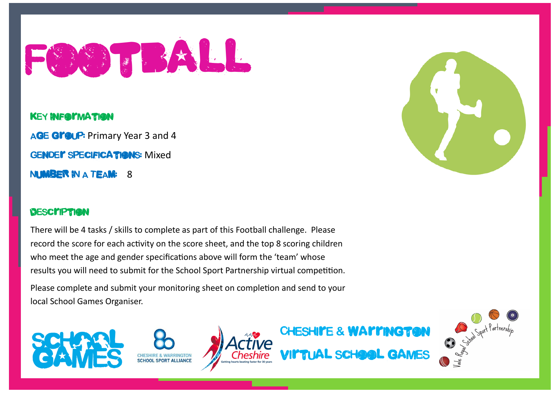

#### KEY INFORMATION

AGE Group: Primary Year 3 and 4 GENDE**r SPECIFICATIONS:** Mixed NUMBER IN A TEAM: 8

#### **DESCITPTION**

There will be 4 tasks / skills to complete as part of this Football challenge. Please record the score for each activity on the score sheet, and the top 8 scoring children who meet the age and gender specifications above will form the 'team' whose results you will need to submit for the School Sport Partnership virtual competition. Please complete and submit your monitoring sheet on completion and send to your local School Games Organiser.











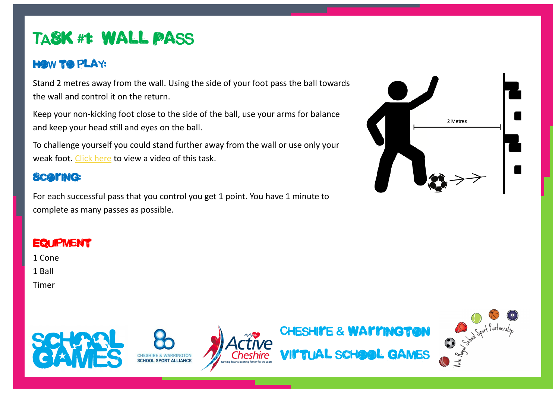# TASK #1: Wall Pass

### **HOW TO PLAY:**

Stand 2 metres away from the wall. Using the side of your foot pass the ball towards the wall and control it on the return.

Keep your non-kicking foot close to the side of the ball, use your arms for balance and keep your head still and eyes on the ball.

To challenge yourself you could stand further away from the wall or use only your weak foot. [Click here](https://youtu.be/EoZ8Sg2mCNw) to view a video of this task.

### **Scaring:**

For each successful pass that you control you get 1 point. You have 1 minute to complete as many passes as possible.

# 2 Metres

### **EQUIPMENT**

- 1 Cone
- 1 Ball
- Timer









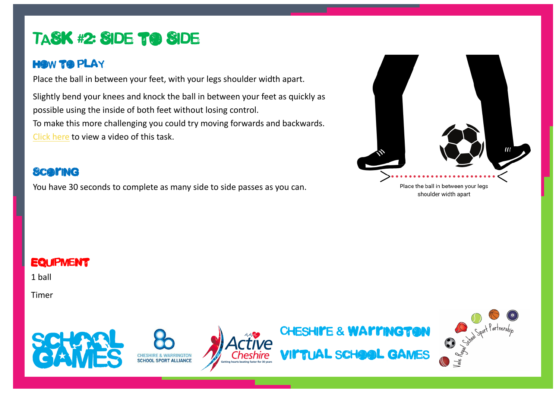## TASK #2: Side to Side

#### **HOW TO PLAY**

Place the ball in between your feet, with your legs shoulder width apart.

Slightly bend your knees and knock the ball in between your feet as quickly as possible using the inside of both feet without losing control. To make this more challenging you could try moving forwards and backwards. [Click here](https://youtu.be/Ar4XFit2bX0) to view a video of this task.

#### **Scaring**

You have 30 seconds to complete as many side to side passes as you can.



shoulder width apart

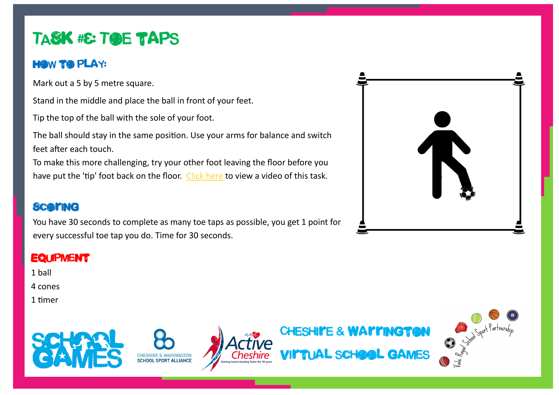# TASK #& TOE TAPS

#### **HOW TO PLAY:**

Mark out a 5 by 5 metre square.

Stand in the middle and place the ball in front of your feet.

Tip the top of the ball with the sole of your foot.

The ball should stay in the same position. Use your arms for balance and switch feet after each touch.

To make this more challenging, try your other foot leaving the floor before you have put the 'tip' foot back on the floor. [Click here](https://youtu.be/plWnaPFHq5c) to view a video of this task.

### **ScarmG**

You have 30 seconds to complete as many toe taps as possible, you get 1 point for every successful toe tap you do. Time for 30 seconds.



#### **EQUIPMENT**

1 ball

4 cones

1 timer









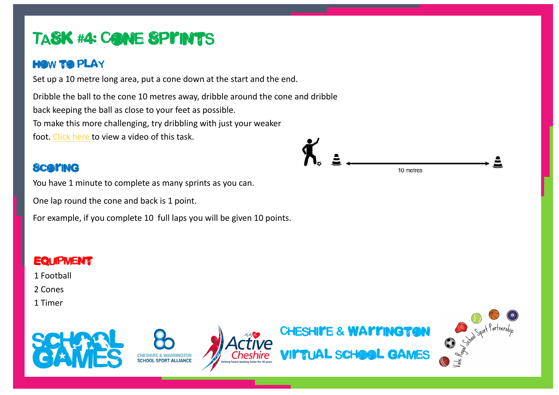# TASK #4: CONE SPINTS

### **HOW TO PLAY**

Set up a 10 metre long area, put a cone down at the start and the end.

Dribble the ball to the cone 10 metres away, dribble around the cone and dribble back keeping the ball as close to your feet as possible. To make this more challenging, try dribbling with just your weaker foot. [Click here](https://youtu.be/Il-tKmuTs6A) to view a video of this task.

## **Scaring**

You have 1 minute to complete as many sprints as you can.

One lap round the cone and back is 1 point.

For example, if you complete 10 full laps you will be given 10 points.

## **EQUIPMENT** 1 Football 2 Cones 1 Timer CHESHI**ITE & WAITINGTON** Virtual school games

10 metres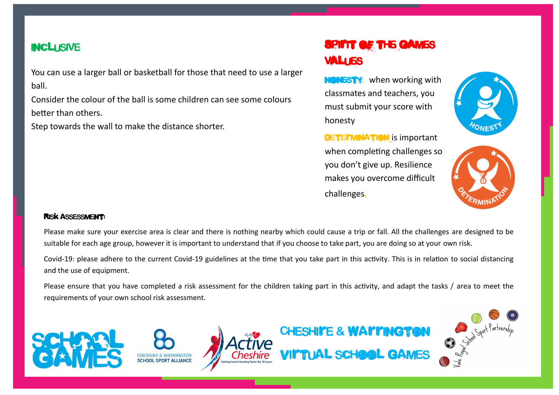#### inclusive

You can use a larger ball or basketball for those that need to use a larger ball.

Consider the colour of the ball is some children can see some colours better than others.

Step towards the wall to make the distance shorter.

## Spirit of the games values

**HONESTY** when working with classmates and teachers, you must submit your score with honesty

**DETEI'MINATION** is important when completing challenges so you don't give up. Resilience makes you overcome difficult challenges.





#### Risk assessment:

Please make sure your exercise area is clear and there is nothing nearby which could cause a trip or fall. All the challenges are designed to be suitable for each age group, however it is important to understand that if you choose to take part, you are doing so at your own risk.

Covid-19: please adhere to the current Covid-19 guidelines at the time that you take part in this activity. This is in relation to social distancing and the use of equipment.

Please ensure that you have completed a risk assessment for the children taking part in this activity, and adapt the tasks / area to meet the requirements of your own school risk assessment.